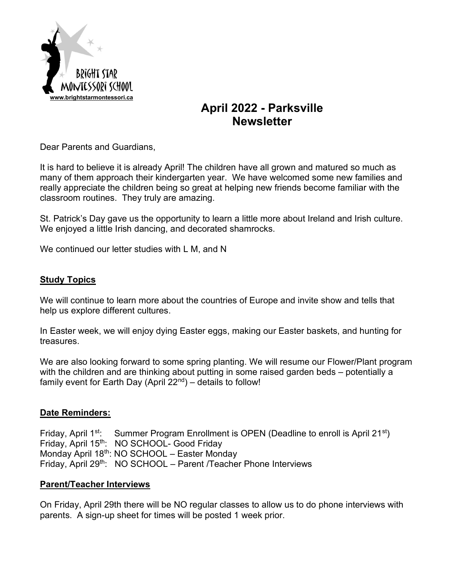

# **April 2022 - Parksville Newsletter**

Dear Parents and Guardians,

It is hard to believe it is already April! The children have all grown and matured so much as many of them approach their kindergarten year. We have welcomed some new families and really appreciate the children being so great at helping new friends become familiar with the classroom routines. They truly are amazing.

St. Patrick's Day gave us the opportunity to learn a little more about Ireland and Irish culture. We enjoyed a little Irish dancing, and decorated shamrocks.

We continued our letter studies with L M, and N

#### **Study Topics**

We will continue to learn more about the countries of Europe and invite show and tells that help us explore different cultures.

In Easter week, we will enjoy dying Easter eggs, making our Easter baskets, and hunting for treasures.

We are also looking forward to some spring planting. We will resume our Flower/Plant program with the children and are thinking about putting in some raised garden beds – potentially a family event for Earth Day (April  $22<sup>nd</sup>$ ) – details to follow!

#### **Date Reminders:**

Friday, April 1<sup>st</sup>: Summer Program Enrollment is OPEN (Deadline to enroll is April 21<sup>st</sup>) Friday, April 15<sup>th</sup>: NO SCHOOL- Good Friday Monday April 18<sup>th</sup>: NO SCHOOL – Easter Monday Friday, April 29<sup>th</sup>: NO SCHOOL – Parent /Teacher Phone Interviews

#### **Parent/Teacher Interviews**

On Friday, April 29th there will be NO regular classes to allow us to do phone interviews with parents. A sign-up sheet for times will be posted 1 week prior.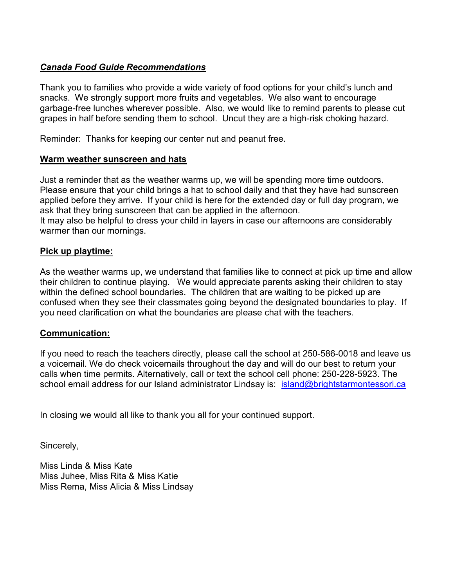# *Canada Food Guide Recommendations*

Thank you to families who provide a wide variety of food options for your child's lunch and snacks. We strongly support more fruits and vegetables. We also want to encourage garbage-free lunches wherever possible. Also, we would like to remind parents to please cut grapes in half before sending them to school. Uncut they are a high-risk choking hazard.

Reminder: Thanks for keeping our center nut and peanut free.

#### **Warm weather sunscreen and hats**

Just a reminder that as the weather warms up, we will be spending more time outdoors. Please ensure that your child brings a hat to school daily and that they have had sunscreen applied before they arrive. If your child is here for the extended day or full day program, we ask that they bring sunscreen that can be applied in the afternoon. It may also be helpful to dress your child in layers in case our afternoons are considerably warmer than our mornings.

#### **Pick up playtime:**

As the weather warms up, we understand that families like to connect at pick up time and allow their children to continue playing. We would appreciate parents asking their children to stay within the defined school boundaries. The children that are waiting to be picked up are confused when they see their classmates going beyond the designated boundaries to play. If you need clarification on what the boundaries are please chat with the teachers.

#### **Communication:**

If you need to reach the teachers directly, please call the school at 250-586-0018 and leave us a voicemail. We do check voicemails throughout the day and will do our best to return your calls when time permits. Alternatively, call or text the school cell phone: 250-228-5923. The school email address for our Island administrator Lindsay is: island@brightstarmontessori.ca

In closing we would all like to thank you all for your continued support.

Sincerely,

Miss Linda & Miss Kate Miss Juhee, Miss Rita & Miss Katie Miss Rema, Miss Alicia & Miss Lindsay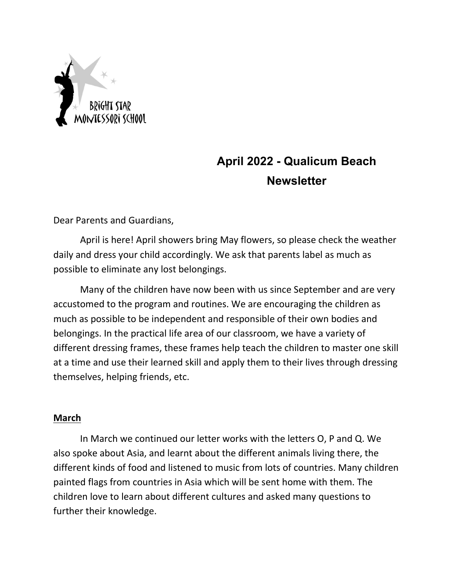

# **April 2022 - Qualicum Beach Newsletter**

Dear Parents and Guardians,

April is here! April showers bring May flowers, so please check the weather daily and dress your child accordingly. We ask that parents label as much as possible to eliminate any lost belongings.

Many of the children have now been with us since September and are very accustomed to the program and routines. We are encouraging the children as much as possible to be independent and responsible of their own bodies and belongings. In the practical life area of our classroom, we have a variety of different dressing frames, these frames help teach the children to master one skill at a time and use their learned skill and apply them to their lives through dressing themselves, helping friends, etc.

# **March**

In March we continued our letter works with the letters O, P and Q. We also spoke about Asia, and learnt about the different animals living there, the different kinds of food and listened to music from lots of countries. Many children painted flags from countries in Asia which will be sent home with them. The children love to learn about different cultures and asked many questions to further their knowledge.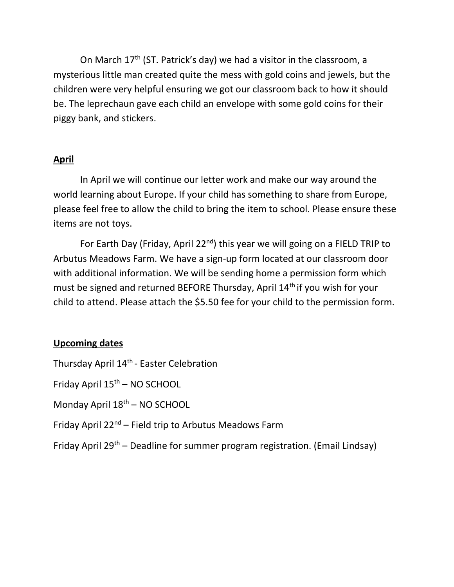On March  $17<sup>th</sup>$  (ST. Patrick's day) we had a visitor in the classroom, a mysterious little man created quite the mess with gold coins and jewels, but the children were very helpful ensuring we got our classroom back to how it should be. The leprechaun gave each child an envelope with some gold coins for their piggy bank, and stickers.

# **April**

In April we will continue our letter work and make our way around the world learning about Europe. If your child has something to share from Europe, please feel free to allow the child to bring the item to school. Please ensure these items are not toys.

For Earth Day (Friday, April 22<sup>nd</sup>) this year we will going on a FIELD TRIP to Arbutus Meadows Farm. We have a sign-up form located at our classroom door with additional information. We will be sending home a permission form which must be signed and returned BEFORE Thursday, April 14<sup>th</sup> if you wish for your child to attend. Please attach the \$5.50 fee for your child to the permission form.

# **Upcoming dates**

Thursday April 14<sup>th</sup> - Easter Celebration

Friday April 15th – NO SCHOOL

Monday April 18<sup>th</sup> – NO SCHOOL

Friday April  $22^{nd}$  – Field trip to Arbutus Meadows Farm

Friday April 29<sup>th</sup> – Deadline for summer program registration. (Email Lindsay)